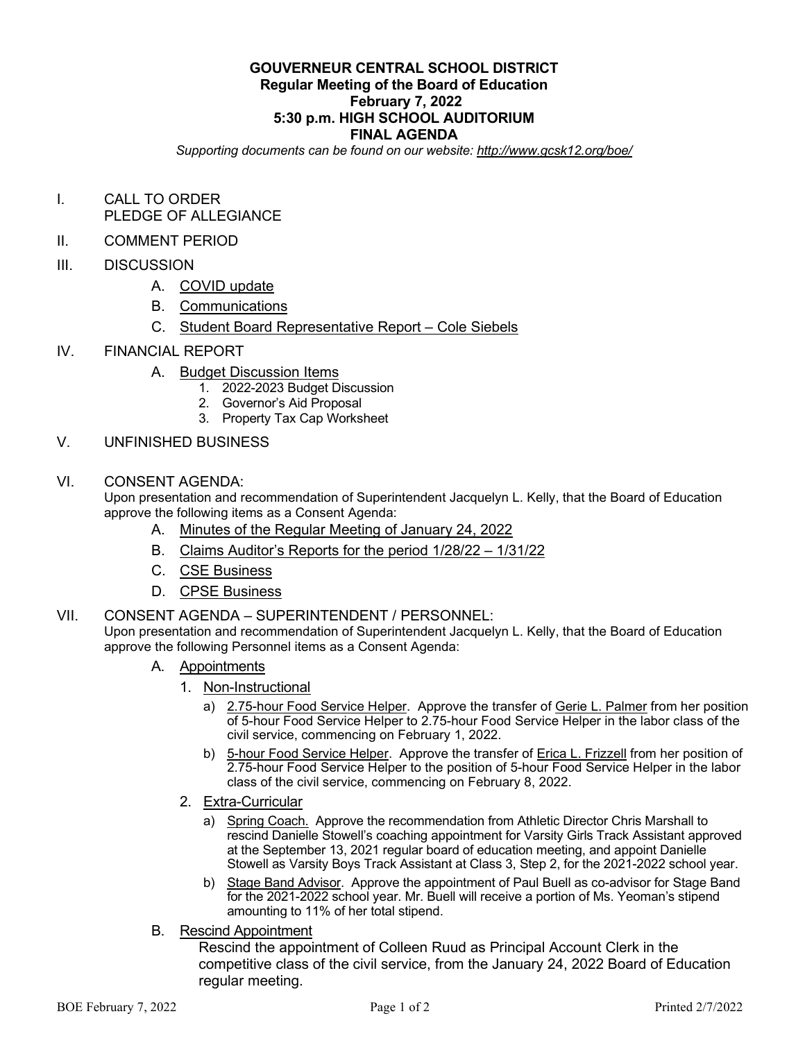## **GOUVERNEUR CENTRAL SCHOOL DISTRICT Regular Meeting of the Board of Education February 7, 2022 5:30 p.m. HIGH SCHOOL AUDITORIUM FINAL AGENDA**

*Supporting documents can be found on our website: http://www.gcsk12.org/boe/*

- I. CALL TO ORDER PLEDGE OF ALLEGIANCE
- II. COMMENT PERIOD
- III. DISCUSSION
	- A. COVID update
	- B. Communications
	- C. Student Board Representative Report Cole Siebels
- IV. FINANCIAL REPORT
	- A. Budget Discussion Items
		- 1. 2022-2023 Budget Discussion
		- 2. Governor's Aid Proposal
		- 3. Property Tax Cap Worksheet
- V. UNFINISHED BUSINESS
- VI. CONSENT AGENDA:

Upon presentation and recommendation of Superintendent Jacquelyn L. Kelly, that the Board of Education approve the following items as a Consent Agenda:

- A. Minutes of the Regular Meeting of January 24, 2022
- B. Claims Auditor's Reports for the period 1/28/22 1/31/22
- C. CSE Business
- D. CPSE Business
- VII. CONSENT AGENDA SUPERINTENDENT / PERSONNEL:

Upon presentation and recommendation of Superintendent Jacquelyn L. Kelly, that the Board of Education approve the following Personnel items as a Consent Agenda:

- A. Appointments
	- 1. Non-Instructional
		- a) 2.75-hour Food Service Helper. Approve the transfer of Gerie L. Palmer from her position of 5-hour Food Service Helper to 2.75-hour Food Service Helper in the labor class of the civil service, commencing on February 1, 2022.
		- b) 5-hour Food Service Helper. Approve the transfer of Erica L. Frizzell from her position of 2.75-hour Food Service Helper to the position of 5-hour Food Service Helper in the labor class of the civil service, commencing on February 8, 2022.
	- 2. Extra-Curricular
		- a) Spring Coach. Approve the recommendation from Athletic Director Chris Marshall to rescind Danielle Stowell's coaching appointment for Varsity Girls Track Assistant approved at the September 13, 2021 regular board of education meeting, and appoint Danielle Stowell as Varsity Boys Track Assistant at Class 3, Step 2, for the 2021-2022 school year.
		- b) Stage Band Advisor. Approve the appointment of Paul Buell as co-advisor for Stage Band for the 2021-2022 school year. Mr. Buell will receive a portion of Ms. Yeoman's stipend amounting to 11% of her total stipend.
- B. Rescind Appointment

Rescind the appointment of Colleen Ruud as Principal Account Clerk in the competitive class of the civil service, from the January 24, 2022 Board of Education regular meeting.